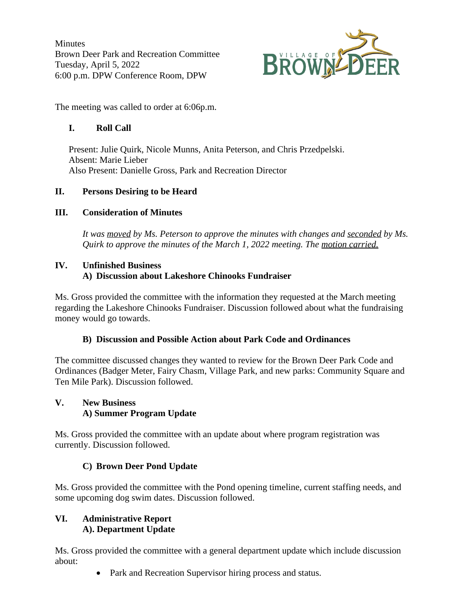**Minutes** Brown Deer Park and Recreation Committee Tuesday, April 5, 2022 6:00 p.m. DPW Conference Room, DPW



The meeting was called to order at 6:06p.m.

# **I. Roll Call**

Present: Julie Quirk, Nicole Munns, Anita Peterson, and Chris Przedpelski. Absent: Marie Lieber Also Present: Danielle Gross, Park and Recreation Director

# **II. Persons Desiring to be Heard**

# **III. Consideration of Minutes**

*It was moved by Ms. Peterson to approve the minutes with changes and seconded by Ms. Quirk to approve the minutes of the March 1, 2022 meeting. The motion carried.*

#### **IV. Unfinished Business A) Discussion about Lakeshore Chinooks Fundraiser**

Ms. Gross provided the committee with the information they requested at the March meeting regarding the Lakeshore Chinooks Fundraiser. Discussion followed about what the fundraising money would go towards.

## **B) Discussion and Possible Action about Park Code and Ordinances**

The committee discussed changes they wanted to review for the Brown Deer Park Code and Ordinances (Badger Meter, Fairy Chasm, Village Park, and new parks: Community Square and Ten Mile Park). Discussion followed.

## **V. New Business A) Summer Program Update**

Ms. Gross provided the committee with an update about where program registration was currently. Discussion followed.

# **C) Brown Deer Pond Update**

Ms. Gross provided the committee with the Pond opening timeline, current staffing needs, and some upcoming dog swim dates. Discussion followed.

## **VI. Administrative Report A). Department Update**

Ms. Gross provided the committee with a general department update which include discussion about:

• Park and Recreation Supervisor hiring process and status.